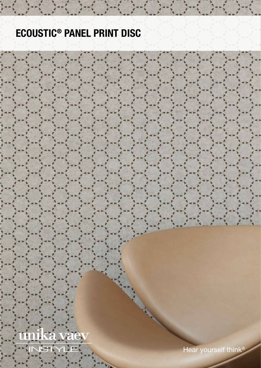# ECOUSTIC® PANEL PRINT DISC

<u>unika vaev</u> STYLE Hear yourself think®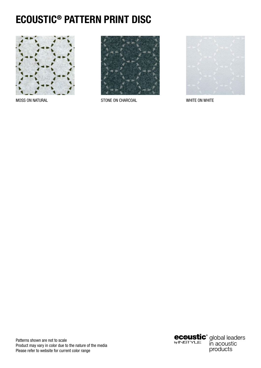## ECOUSTIC® PATTERN PRINT DISC



**MOSS ON NATURAL** 



STONE ON CHARCOAL



WHITE ON WHITE